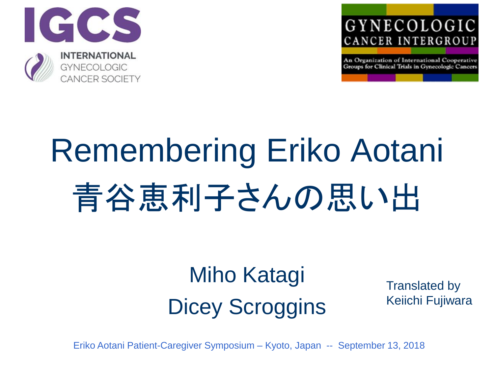



An Organization of International Cooperative Groups for Clinical Trials in Gynecologic Cancers

## Remembering Eriko Aotani 青谷恵利子さんの思い出

### Miho Katagi Dicey Scroggins

Translated by Keiichi Fujiwara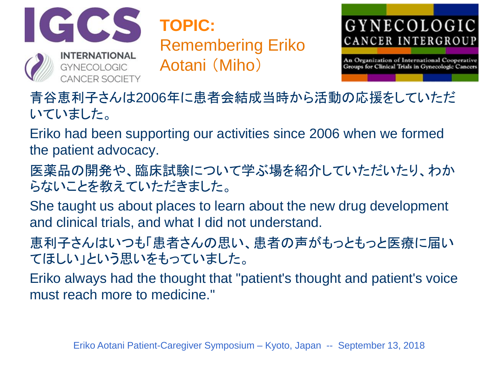

**TOPIC:** Remembering Eriko Aotani (Miho)



An Organization of International Cooperative Groups for Clinical Trials in Gynecologic Cancers

青谷恵利子さんは2006年に患者会結成当時から活動の応援をしていただ いていました。

Eriko had been supporting our activities since 2006 when we formed the patient advocacy.

医薬品の開発や、臨床試験について学ぶ場を紹介していただいたり、わか らないことを教えていただきました。

She taught us about places to learn about the new drug development and clinical trials, and what I did not understand.

恵利子さんはいつも「患者さんの思い、患者の声がもっともっと医療に届い てほしい」という思いをもっていました。

Eriko always had the thought that "patient's thought and patient's voice must reach more to medicine."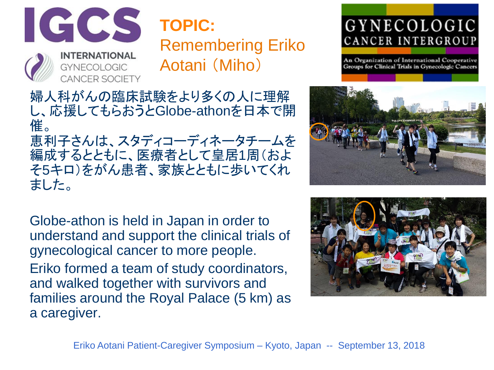

**TOPIC:** Remembering Eriko Aotani (Miho)

GYNECOLOGIC CANCER INTERGROUP

An Organization of International Cooperative Groups for Clinical Trials in Gynecologic Cancers

婦人科がんの臨床試験をより多くの人に理解 し、応援してもらおうとGlobe-athonを日本で開 催。 恵利子さんは、スタディコーディネータチームを 編成するとともに、医療者として皇居1周(およ そ5キロ)をがん患者、家族とともに歩いてくれ ました。

Globe-athon is held in Japan in order to understand and support the clinical trials of gynecological cancer to more people. Eriko formed a team of study coordinators, and walked together with survivors and families around the Royal Palace (5 km) as a caregiver.



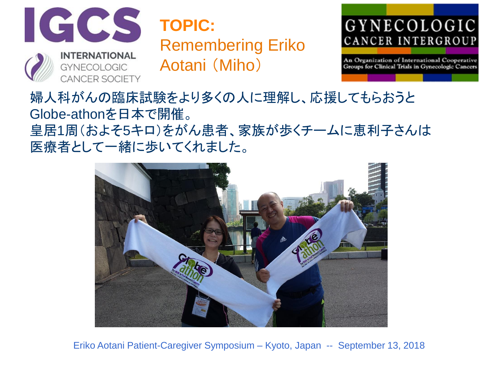

**TOPIC:** Remembering Eriko Aotani (Miho)

#### GYNECOLOGIC CANCER INTERGROUP

An Organization of International Cooperative Groups for Clinical Trials in Gynecologic Cancers

婦人科がんの臨床試験をより多くの人に理解し、応援してもらおうと Globe-athonを日本で開催。 皇居1周(およそ5キロ)をがん患者、家族が歩くチームに恵利子さんは 医療者として一緒に歩いてくれました。

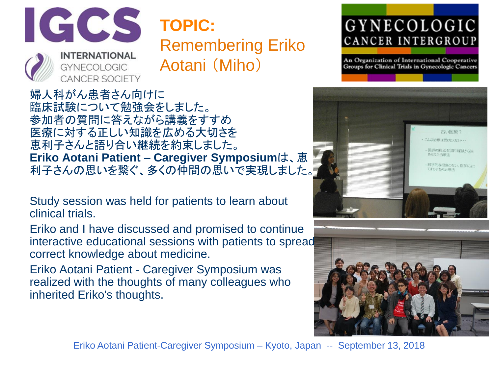

**CANCER SOCIETY** 

**TOPIC:** Remembering Eriko Aotani (Miho)

GYNECOLOGIC CANCER INTERGROUP

An Organization of International Cooperative Groups for Clinical Trials in Gynecologic Cancers

婦人科がん患者さん向けに 臨床試験について勉強会をしました。 参加者の質問に答えながら講義をすすめ 医療に対する正しい知識を広める大切さを 恵利子さんと語り合い継続を約束しました。 **Eriko Aotani Patient – Caregiver Symposium**は、恵 利子さんの思いを繋ぐ、多くの仲間の思いで実現しました。

Study session was held for patients to learn about clinical trials.

Eriko and I have discussed and promised to continue interactive educational sessions with patients to spread correct knowledge about medicine.

Eriko Aotani Patient - Caregiver Symposium was realized with the thoughts of many colleagues who inherited Eriko's thoughts.



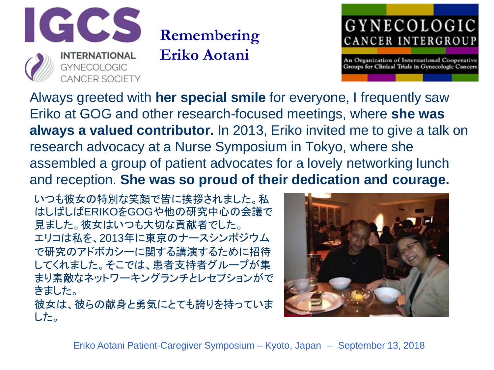

## **Remembering**

**Eriko Aotani**



An Organization of International Cooperative Groups for Clinical Trials in Gynecologic Cancers

Always greeted with **her special smile** for everyone, I frequently saw Eriko at GOG and other research-focused meetings, where **she was always a valued contributor.** In 2013, Eriko invited me to give a talk on research advocacy at a Nurse Symposium in Tokyo, where she assembled a group of patient advocates for a lovely networking lunch and reception. **She was so proud of their dedication and courage.**

いつも彼女の特別な笑顔で皆に挨拶されました。私 はしばしばERIKOをGOGや他の研究中心の会議で 見ました。彼女はいつも大切な貢献者でした。 エリコは私を、2013年に東京のナースシンポジウム で研究のアドボカシーに関する講演するために招待 してくれました。そこでは、患者支持者グループが集 まり素敵なネットワーキングランチとレセプションがで きました。

彼女は、彼らの献身と勇気にとても誇りを持っていま した。

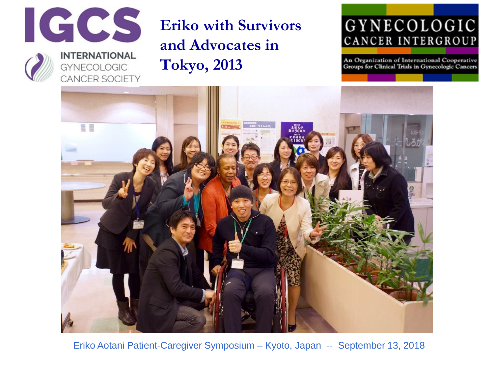



#### **INTERNATIONAL GYNECOLOGIC** CANCER SOCIETY

#### **Eriko with Survivors and Advocates in Tokyo, 2013**

#### GYNECOLOGIC CANCER INTERGROUP

An Organization of International Cooperative Groups for Clinical Trials in Gynecologic Cancers

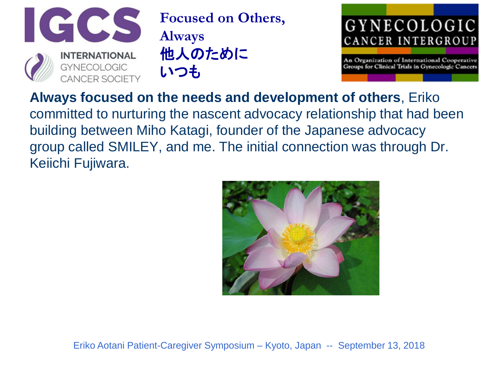

**Focused on Others, Always** 他人のために いつも



An Organization of International Cooperative Groups for Clinical Trials in Gynecologic Cancers

**Always focused on the needs and development of others**, Eriko

committed to nurturing the nascent advocacy relationship that had been building between Miho Katagi, founder of the Japanese advocacy group called SMILEY, and me. The initial connection was through Dr. Keiichi Fujiwara.

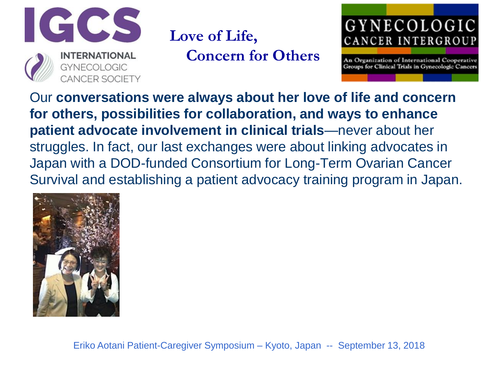

**Love of Life, Concern for Others**



An Organization of International Cooperative Groups for Clinical Trials in Gynecologic Cancers

Our **conversations were always about her love of life and concern for others, possibilities for collaboration, and ways to enhance patient advocate involvement in clinical trials**—never about her struggles. In fact, our last exchanges were about linking advocates in Japan with a DOD-funded Consortium for Long-Term Ovarian Cancer Survival and establishing a patient advocacy training program in Japan.

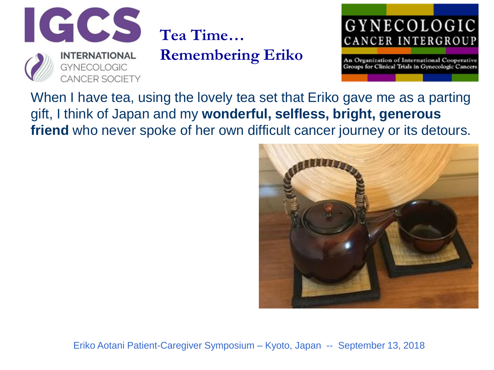

**Tea Time…**

**Remembering Eriko**

#### GYNECOLOGIC CANCER INTERGROUP

An Organization of International Cooperative Groups for Clinical Trials in Gynecologic Cancers

When I have tea, using the lovely tea set that Eriko gave me as a parting gift, I think of Japan and my **wonderful, selfless, bright, generous friend** who never spoke of her own difficult cancer journey or its detours.

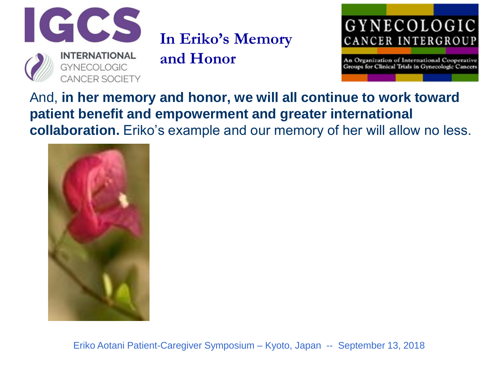

**In Eriko's Memory** 

**and Honor**

#### GYNECOLOGIC CANCER INTERGROUP

An Organization of International Cooperative Groups for Clinical Trials in Gynecologic Cancers

And, **in her memory and honor, we will all continue to work toward patient benefit and empowerment and greater international collaboration.** Eriko's example and our memory of her will allow no less.